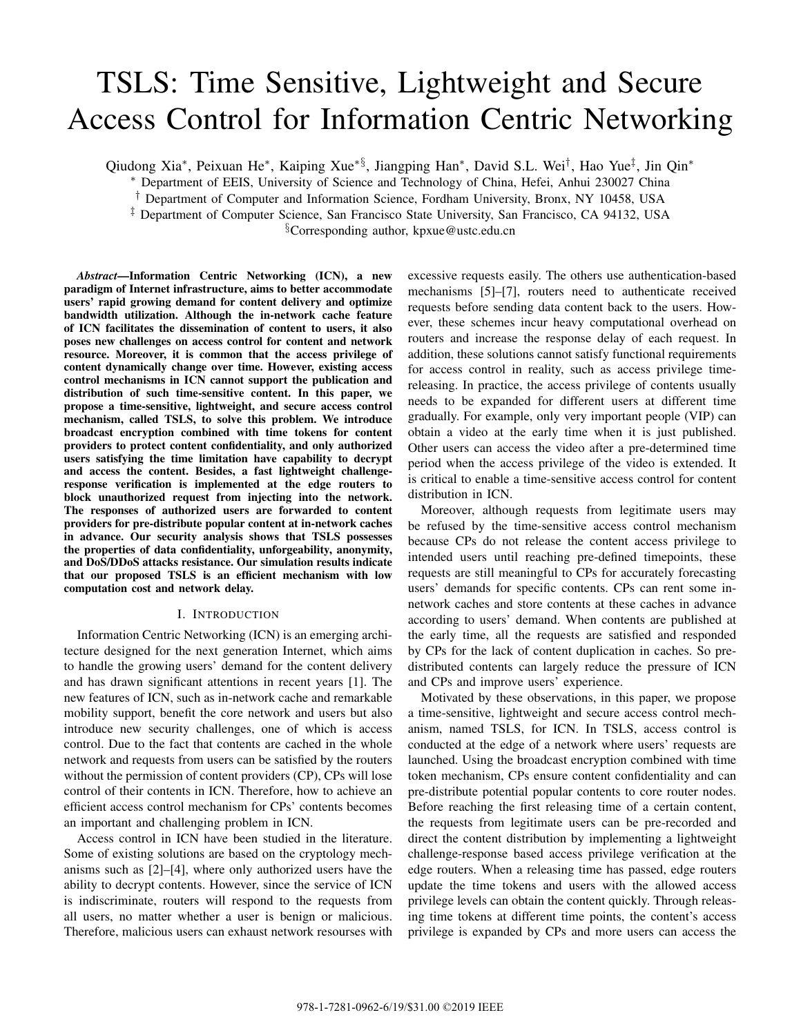# TSLS: Time Sensitive, Lightweight and Secure Access Control for Information Centric Networking

Qiudong Xia∗, Peixuan He∗, Kaiping Xue∗§, Jiangping Han∗, David S.L. Wei†, Hao Yue‡, Jin Qin∗

∗ Department of EEIS, University of Science and Technology of China, Hefei, Anhui 230027 China

† Department of Computer and Information Science, Fordham University, Bronx, NY 10458, USA

‡ Department of Computer Science, San Francisco State University, San Francisco, CA 94132, USA

§Corresponding author, kpxue@ustc.edu.cn

*Abstract*—Information Centric Networking (ICN), a new paradigm of Internet infrastructure, aims to better accommodate users' rapid growing demand for content delivery and optimize bandwidth utilization. Although the in-network cache feature of ICN facilitates the dissemination of content to users, it also poses new challenges on access control for content and network resource. Moreover, it is common that the access privilege of content dynamically change over time. However, existing access control mechanisms in ICN cannot support the publication and distribution of such time-sensitive content. In this paper, we propose a time-sensitive, lightweight, and secure access control mechanism, called TSLS, to solve this problem. We introduce broadcast encryption combined with time tokens for content providers to protect content confidentiality, and only authorized users satisfying the time limitation have capability to decrypt and access the content. Besides, a fast lightweight challengeresponse verification is implemented at the edge routers to block unauthorized request from injecting into the network. The responses of authorized users are forwarded to content providers for pre-distribute popular content at in-network caches in advance. Our security analysis shows that TSLS possesses the properties of data confidentiality, unforgeability, anonymity, and DoS/DDoS attacks resistance. Our simulation results indicate that our proposed TSLS is an efficient mechanism with low computation cost and network delay.

#### I. INTRODUCTION

Information Centric Networking (ICN) is an emerging architecture designed for the next generation Internet, which aims to handle the growing users' demand for the content delivery and has drawn significant attentions in recent years [1]. The new features of ICN, such as in-network cache and remarkable mobility support, benefit the core network and users but also introduce new security challenges, one of which is access control. Due to the fact that contents are cached in the whole network and requests from users can be satisfied by the routers without the permission of content providers (CP), CPs will lose control of their contents in ICN. Therefore, how to achieve an efficient access control mechanism for CPs' contents becomes an important and challenging problem in ICN.

Access control in ICN have been studied in the literature. Some of existing solutions are based on the cryptology mechanisms such as [2]–[4], where only authorized users have the ability to decrypt contents. However, since the service of ICN is indiscriminate, routers will respond to the requests from all users, no matter whether a user is benign or malicious. Therefore, malicious users can exhaust network resourses with excessive requests easily. The others use authentication-based mechanisms [5]–[7], routers need to authenticate received requests before sending data content back to the users. However, these schemes incur heavy computational overhead on routers and increase the response delay of each request. In addition, these solutions cannot satisfy functional requirements for access control in reality, such as access privilege timereleasing. In practice, the access privilege of contents usually needs to be expanded for different users at different time gradually. For example, only very important people (VIP) can obtain a video at the early time when it is just published. Other users can access the video after a pre-determined time period when the access privilege of the video is extended. It is critical to enable a time-sensitive access control for content distribution in ICN.

Moreover, although requests from legitimate users may be refused by the time-sensitive access control mechanism because CPs do not release the content access privilege to intended users until reaching pre-defined timepoints, these requests are still meaningful to CPs for accurately forecasting users' demands for specific contents. CPs can rent some innetwork caches and store contents at these caches in advance according to users' demand. When contents are published at the early time, all the requests are satisfied and responded by CPs for the lack of content duplication in caches. So predistributed contents can largely reduce the pressure of ICN and CPs and improve users' experience.

Motivated by these observations, in this paper, we propose a time-sensitive, lightweight and secure access control mechanism, named TSLS, for ICN. In TSLS, access control is conducted at the edge of a network where users' requests are launched. Using the broadcast encryption combined with time token mechanism, CPs ensure content confidentiality and can pre-distribute potential popular contents to core router nodes. Before reaching the first releasing time of a certain content, the requests from legitimate users can be pre-recorded and direct the content distribution by implementing a lightweight challenge-response based access privilege verification at the edge routers. When a releasing time has passed, edge routers update the time tokens and users with the allowed access privilege levels can obtain the content quickly. Through releasing time tokens at different time points, the content's access privilege is expanded by CPs and more users can access the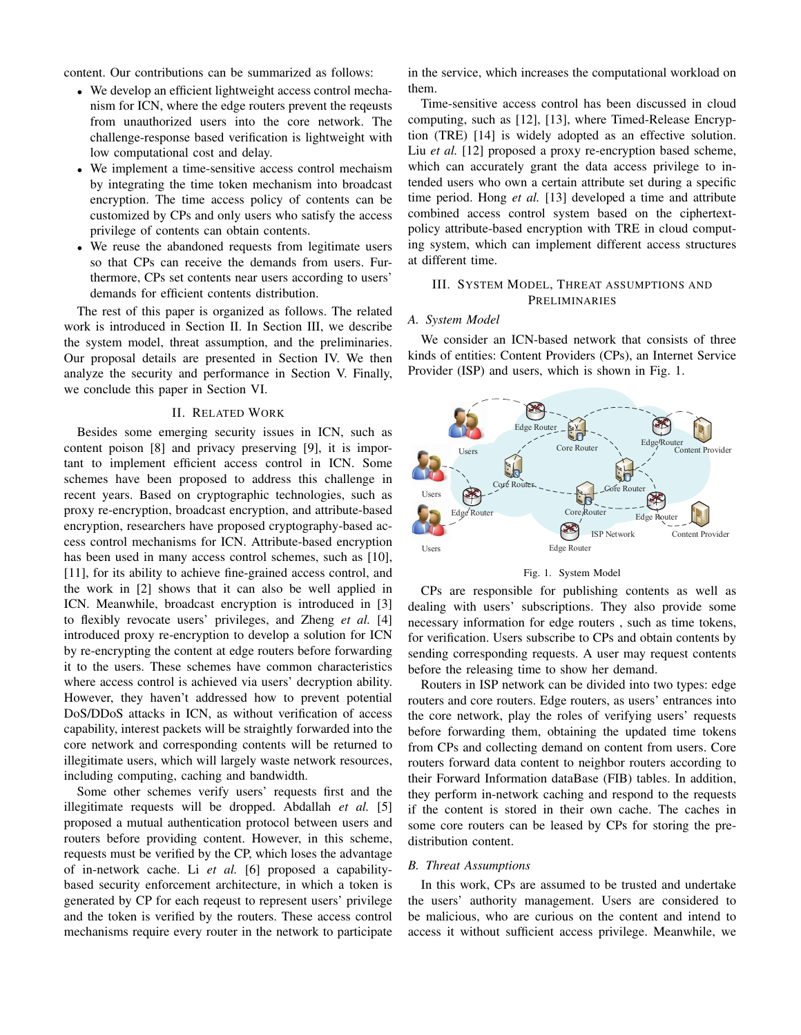content. Our contributions can be summarized as follows:

- We develop an efficient lightweight access control mechanism for ICN, where the edge routers prevent the reqeusts from unauthorized users into the core network. The challenge-response based verification is lightweight with low computational cost and delay.
- We implement a time-sensitive access control mechaism by integrating the time token mechanism into broadcast encryption. The time access policy of contents can be customized by CPs and only users who satisfy the access privilege of contents can obtain contents.
- We reuse the abandoned requests from legitimate users so that CPs can receive the demands from users. Furthermore, CPs set contents near users according to users' demands for efficient contents distribution.

The rest of this paper is organized as follows. The related work is introduced in Section II. In Section III, we describe the system model, threat assumption, and the preliminaries. Our proposal details are presented in Section IV. We then analyze the security and performance in Section V. Finally, we conclude this paper in Section VI.

#### II. RELATED WORK

Besides some emerging security issues in ICN, such as content poison [8] and privacy preserving [9], it is important to implement efficient access control in ICN. Some schemes have been proposed to address this challenge in recent years. Based on cryptographic technologies, such as proxy re-encryption, broadcast encryption, and attribute-based encryption, researchers have proposed cryptography-based access control mechanisms for ICN. Attribute-based encryption has been used in many access control schemes, such as [10], [11], for its ability to achieve fine-grained access control, and the work in [2] shows that it can also be well applied in ICN. Meanwhile, broadcast encryption is introduced in [3] to flexibly revocate users' privileges, and Zheng *et al.* [4] introduced proxy re-encryption to develop a solution for ICN by re-encrypting the content at edge routers before forwarding it to the users. These schemes have common characteristics where access control is achieved via users' decryption ability. However, they haven't addressed how to prevent potential DoS/DDoS attacks in ICN, as without verification of access capability, interest packets will be straightly forwarded into the core network and corresponding contents will be returned to illegitimate users, which will largely waste network resources, including computing, caching and bandwidth.

Some other schemes verify users' requests first and the illegitimate requests will be dropped. Abdallah *et al.* [5] proposed a mutual authentication protocol between users and routers before providing content. However, in this scheme, requests must be verified by the CP, which loses the advantage of in-network cache. Li *et al.* [6] proposed a capabilitybased security enforcement architecture, in which a token is generated by CP for each reqeust to represent users' privilege and the token is verified by the routers. These access control mechanisms require every router in the network to participate

in the service, which increases the computational workload on them.

Time-sensitive access control has been discussed in cloud computing, such as [12], [13], where Timed-Release Encryption (TRE) [14] is widely adopted as an effective solution. Liu *et al.* [12] proposed a proxy re-encryption based scheme, which can accurately grant the data access privilege to intended users who own a certain attribute set during a specific time period. Hong *et al.* [13] developed a time and attribute combined access control system based on the ciphertextpolicy attribute-based encryption with TRE in cloud computing system, which can implement different access structures at different time.

# III. SYSTEM MODEL, THREAT ASSUMPTIONS AND PRELIMINARIES

#### *A. System Model*

We consider an ICN-based network that consists of three kinds of entities: Content Providers (CPs), an Internet Service Provider (ISP) and users, which is shown in Fig. 1.



#### Fig. 1. System Model

CPs are responsible for publishing contents as well as dealing with users' subscriptions. They also provide some necessary information for edge routers , such as time tokens, for verification. Users subscribe to CPs and obtain contents by sending corresponding requests. A user may request contents before the releasing time to show her demand.

Routers in ISP network can be divided into two types: edge routers and core routers. Edge routers, as users' entrances into the core network, play the roles of verifying users' requests before forwarding them, obtaining the updated time tokens from CPs and collecting demand on content from users. Core routers forward data content to neighbor routers according to their Forward Information dataBase (FIB) tables. In addition, they perform in-network caching and respond to the requests if the content is stored in their own cache. The caches in some core routers can be leased by CPs for storing the predistribution content.

#### *B. Threat Assumptions*

In this work, CPs are assumed to be trusted and undertake the users' authority management. Users are considered to be malicious, who are curious on the content and intend to access it without sufficient access privilege. Meanwhile, we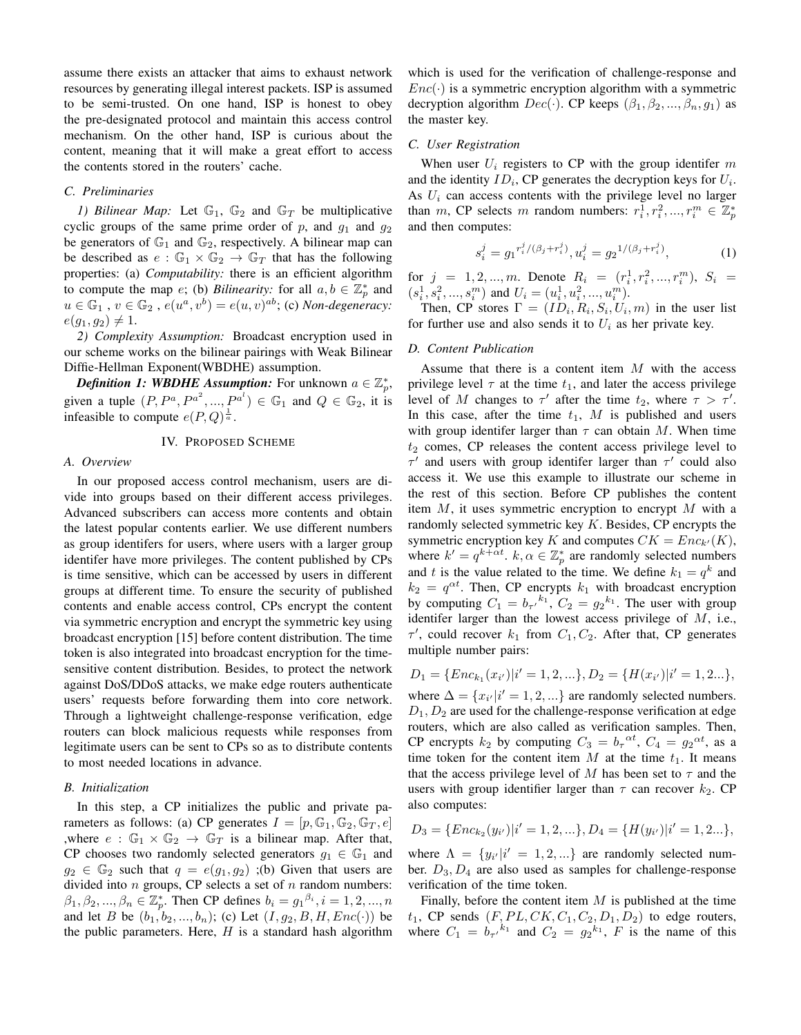assume there exists an attacker that aims to exhaust network resources by generating illegal interest packets. ISP is assumed to be semi-trusted. On one hand, ISP is honest to obey the pre-designated protocol and maintain this access control mechanism. On the other hand, ISP is curious about the content, meaning that it will make a great effort to access the contents stored in the routers' cache.

#### *C. Preliminaries*

*1) Bilinear Map:* Let  $\mathbb{G}_1$ ,  $\mathbb{G}_2$  and  $\mathbb{G}_T$  be multiplicative cyclic groups of the same prime order of p, and  $q_1$  and  $q_2$ be generators of  $\mathbb{G}_1$  and  $\mathbb{G}_2$ , respectively. A bilinear map can be described as  $e : \mathbb{G}_1 \times \mathbb{G}_2 \to \mathbb{G}_T$  that has the following properties: (a) *Computability:* there is an efficient algorithm to compute the map *e*; (b) *Bilinearity:* for all  $a, b \in \mathbb{Z}_p^*$  and  $u \in \mathbb{G}_1$ ,  $v \in \mathbb{G}_2$ ,  $e(u^a, v^b) = e(u, v)^{ab}$ ; (c) *Non-degeneracy*:  $e(g_1, g_2) \neq 1.$ 

*2) Complexity Assumption:* Broadcast encryption used in our scheme works on the bilinear pairings with Weak Bilinear Diffie-Hellman Exponent(WBDHE) assumption.

*Definition 1: WBDHE Assumption:* For unknown  $a \in \mathbb{Z}_p^*$ , given a tuple  $(P, P^a, P^{a^2}, ..., P^{a^l}) \in \mathbb{G}_1$  and  $Q \in \mathbb{G}_2$ , it is infeasible to compute  $e(P,Q)^{\frac{1}{a}}$ .

## IV. PROPOSED SCHEME

#### *A. Overview*

In our proposed access control mechanism, users are divide into groups based on their different access privileges. Advanced subscribers can access more contents and obtain the latest popular contents earlier. We use different numbers as group identifers for users, where users with a larger group identifer have more privileges. The content published by CPs is time sensitive, which can be accessed by users in different groups at different time. To ensure the security of published contents and enable access control, CPs encrypt the content via symmetric encryption and encrypt the symmetric key using broadcast encryption [15] before content distribution. The time token is also integrated into broadcast encryption for the timesensitive content distribution. Besides, to protect the network against DoS/DDoS attacks, we make edge routers authenticate users' requests before forwarding them into core network. Through a lightweight challenge-response verification, edge routers can block malicious requests while responses from legitimate users can be sent to CPs so as to distribute contents to most needed locations in advance.

#### *B. Initialization*

In this step, a CP initializes the public and private parameters as follows: (a) CP generates  $I = [p, \mathbb{G}_1, \mathbb{G}_2, \mathbb{G}_T, e]$ ,where  $e : \mathbb{G}_1 \times \mathbb{G}_2 \to \mathbb{G}_T$  is a bilinear map. After that, CP chooses two randomly selected generators  $g_1 \in \mathbb{G}_1$  and  $g_2 \in \mathbb{G}_2$  such that  $q = e(g_1, g_2)$ ; (b) Given that users are divided into  $n$  groups, CP selects a set of  $n$  random numbers:  $\beta_1, \beta_2, ..., \beta_n \in \mathbb{Z}_p^*$ . Then CP defines  $b_i = g_1^{\beta_i}, i = 1, 2, ..., n$ and let B be  $(b_1, b_2, ..., b_n)$ ; (c) Let  $(I, g_2, B, H, Enc(\cdot))$  be the public parameters. Here,  $H$  is a standard hash algorithm

which is used for the verification of challenge-response and  $Enc(\cdot)$  is a symmetric encryption algorithm with a symmetric decryption algorithm  $Dec(\cdot)$ . CP keeps  $(\beta_1, \beta_2, ..., \beta_n, g_1)$  as the master key.

## *C. User Registration*

When user  $U_i$  registers to CP with the group identifer m and the identity  $ID_i$ , CP generates the decryption keys for  $U_i$ . As  $U_i$  can access contents with the privilege level no larger than m, CP selects m random numbers:  $r_i^1, r_i^2, ..., r_i^m \in \mathbb{Z}_p^*$ and then computes:

$$
s_i^j = g_1^{r_i^j/(\beta_j + r_i^j)}, u_i^j = g_2^{1/(\beta_j + r_i^j)},
$$
(1)

for  $j = 1, 2, ..., m$ . Denote  $R_i = (r_i^1, r_i^2, ..., r_i^m), S_i =$  $(s_i^1, s_i^2, ..., s_i^m)$  and  $U_i = (u_i^1, u_i^2, ..., u_i^m)$ .

Then, CP stores  $\Gamma=(ID_i, R_i, S_i, U_i, m)$  in the user list for further use and also sends it to  $U_i$  as her private key.

## *D. Content Publication*

Assume that there is a content item  $M$  with the access privilege level  $\tau$  at the time  $t_1$ , and later the access privilege level of M changes to  $\tau'$  after the time  $t_2$ , where  $\tau > \tau'$ . In this case, after the time  $t_1$ ,  $M$  is published and users with group identifer larger than  $\tau$  can obtain M. When time  $t_2$  comes, CP releases the content access privilege level to  $\tau'$  and users with group identifer larger than  $\tau'$  could also access it. We use this example to illustrate our scheme in the rest of this section. Before CP publishes the content item  $M$ , it uses symmetric encryption to encrypt  $M$  with a randomly selected symmetric key  $K$ . Besides, CP encrypts the symmetric encryption key K and computes  $CK = Enc_{k'}(K)$ , where  $k' = q^{k + \alpha t}$ .  $k, \alpha \in \mathbb{Z}_p^*$  are randomly selected numbers and t is the value related to the time. We define  $k_1 = q^k$  and  $k_2 = q^{\alpha t}$ . Then, CP encrypts  $k_1$  with broadcast encryption by computing  $C_1 = b_{\tau'}^{k_1}$ ,  $C_2 = g_2^{k_1}$ . The user with group identifer larger than the lowest access privilege of M, i.e.,  $\tau'$ , could recover  $k_1$  from  $C_1, C_2$ . After that, CP generates multiple number pairs:

$$
D_1 = \{Enc_{k_1}(x_{i'}) | i' = 1, 2, ...\}, D_2 = \{H(x_{i'}) | i' = 1, 2...\},
$$

where  $\Delta = \{x_{i'} | i' = 1, 2, ...\}$  are randomly selected numbers.  $D_1, D_2$  are used for the challenge-response verification at edge routers, which are also called as verification samples. Then, CP encrypts  $k_2$  by computing  $C_3 = b_\tau^{\alpha t}$ ,  $C_4 = g_2^{\alpha t}$ , as a time token for the content item M at the time  $t_1$ . It means that the access privilege level of M has been set to  $\tau$  and the users with group identifier larger than  $\tau$  can recover  $k_2$ . CP also computes:

$$
D_3 = \{Enc_{k_2}(y_{i'}) | i' = 1, 2, ...\}, D_4 = \{H(y_{i'}) | i' = 1, 2...\},
$$

where  $\Lambda = \{y_{i'}|i' = 1, 2, ...\}$  are randomly selected number.  $D_3, D_4$  are also used as samples for challenge-response verification of the time token.

Finally, before the content item  $M$  is published at the time  $t_1$ , CP sends  $(F, PL, CK, C_1, C_2, D_1, D_2)$  to edge routers, where  $C_1 = b_{\tau'}^{k_1}$  and  $C_2 = g_2^{k_1}$ , F is the name of this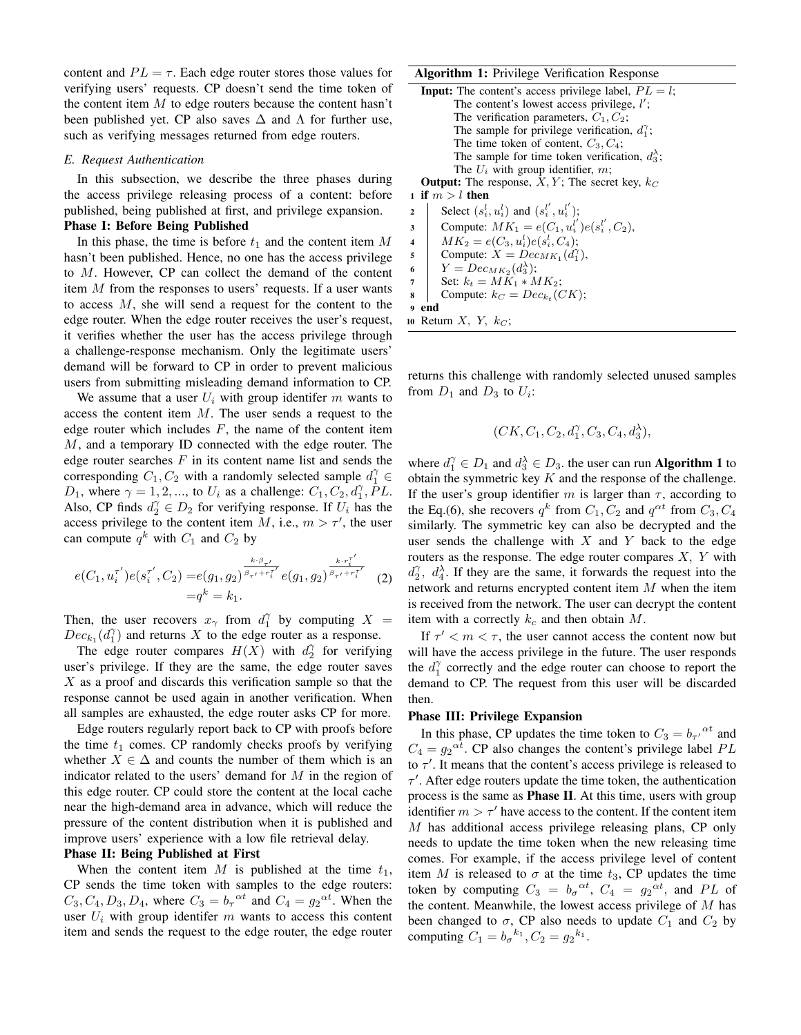content and  $PL = \tau$ . Each edge router stores those values for verifying users' requests. CP doesn't send the time token of the content item  $M$  to edge routers because the content hasn't been published yet. CP also saves  $\Delta$  and  $\Lambda$  for further use, such as verifying messages returned from edge routers.

# *E. Request Authentication*

In this subsection, we describe the three phases during the access privilege releasing process of a content: before published, being published at first, and privilege expansion.

## Phase I: Before Being Published

In this phase, the time is before  $t_1$  and the content item M hasn't been published. Hence, no one has the access privilege to M. However, CP can collect the demand of the content item M from the responses to users' requests. If a user wants to access M, she will send a request for the content to the edge router. When the edge router receives the user's request, it verifies whether the user has the access privilege through a challenge-response mechanism. Only the legitimate users' demand will be forward to CP in order to prevent malicious users from submitting misleading demand information to CP.

We assume that a user  $U_i$  with group identifer m wants to access the content item  $M$ . The user sends a request to the edge router which includes  $F$ , the name of the content item M, and a temporary ID connected with the edge router. The edge router searches  $F$  in its content name list and sends the corresponding  $C_1, C_2$  with a randomly selected sample  $d_1^{\gamma} \in$  $D_1$ , where  $\gamma = 1, 2, \dots$ , to  $U_i$  as a challenge:  $C_1, C_2, d_1^{\gamma}$ ,  $PL$ . Also, CP finds  $d_2^{\gamma} \in D_2$  for verifying response. If  $U_i$  has the access privilege to the content item M, i.e.,  $m > \tau'$ , the user can compute  $q^k$  with  $C_1$  and  $C_2$  by

$$
e(C_1, u_i^{\tau'})e(s_i^{\tau'}, C_2) = e(g_1, g_2)^{\frac{k \cdot \beta_{\tau'}}{\beta_{\tau'} + r_i^{\tau'}}}e(g_1, g_2)^{\frac{k \cdot r_i^{\tau'}}{\beta_{\tau'} + r_i^{\tau'}}}
$$
(2)  
= $q^k = k_1$ .

Then, the user recovers  $x_{\gamma}$  from  $d_1^{\gamma}$  by computing  $X =$  $Dec_{k_1}(d_1^{\gamma})$  and returns X to the edge router as a response.

The edge router compares  $H(X)$  with  $d_2^{\gamma}$  for verifying user's privilege. If they are the same, the edge router saves  $X$  as a proof and discards this verification sample so that the response cannot be used again in another verification. When all samples are exhausted, the edge router asks CP for more.

Edge routers regularly report back to CP with proofs before the time  $t_1$  comes. CP randomly checks proofs by verifying whether  $X \in \Delta$  and counts the number of them which is an indicator related to the users' demand for  $M$  in the region of this edge router. CP could store the content at the local cache near the high-demand area in advance, which will reduce the pressure of the content distribution when it is published and improve users' experience with a low file retrieval delay.

## Phase II: Being Published at First

When the content item  $M$  is published at the time  $t_1$ , CP sends the time token with samples to the edge routers:  $C_3, C_4, D_3, D_4$ , where  $C_3 = b_\tau^{\alpha t}$  and  $C_4 = g_2^{\alpha t}$ . When the user  $U_i$  with group identifer m wants to access this content item and sends the request to the edge router, the edge router

## Algorithm 1: Privilege Verification Response

**Input:** The content's access privilege label,  $PL = l$ ; The content's lowest access privilege,  $l'$ ; The verification parameters,  $C_1, C_2$ ; The sample for privilege verification,  $d_1^{\gamma}$ ; The time token of content,  $C_3, C_4$ ; The sample for time token verification,  $d_3^{\lambda}$ ; The  $U_i$  with group identifier,  $m$ ; **Output:** The response,  $X, Y$ ; The secret key,  $k_C$ 1 if  $m>l$  then 2 Select  $(s_i^l, u_i^l)$  and  $(s_i^{l'}, u_i^{l'})$ ; 3 Compute:  $MK_1 = e(C_1, u_i^{l'})e(s_i^{l'}, C_2),$ 4  $MK_2 = e(C_3, u_i^l)e(s_i^l, C_4);$ 5 Compute:  $X = Dec_{MK_1}(d_1^{\gamma})$ , 6  $Y = Dec_{MK_2}(d_3^{\lambda});$ 7 Set:  $k_t = MK_1 * MK_2$ ;

**8** Compute: 
$$
k_C = Dec_{k_t}(CK)
$$
;

<sup>9</sup> end

10 Return  $X$ ,  $Y$ ,  $k_C$ ;

returns this challenge with randomly selected unused samples from  $D_1$  and  $D_3$  to  $U_i$ :

$$
(CK, C_1, C_2, d_1^{\gamma}, C_3, C_4, d_3^{\lambda}),
$$

where  $d_1^{\gamma} \in D_1$  and  $d_3^{\lambda} \in D_3$ . the user can run **Algorithm 1** to obtain the symmetric key  $K$  and the response of the challenge. If the user's group identifier m is larger than  $\tau$ , according to the Eq.(6), she recovers  $q^k$  from  $C_1, C_2$  and  $q^{\alpha t}$  from  $C_3, C_4$ similarly. The symmetric key can also be decrypted and the user sends the challenge with  $X$  and  $Y$  back to the edge routers as the response. The edge router compares  $X$ ,  $Y$  with  $d_2^{\gamma}$ ,  $d_4^{\lambda}$ . If they are the same, it forwards the request into the network and returns encrypted content item M when the item is received from the network. The user can decrypt the content item with a correctly  $k_c$  and then obtain M.

If  $\tau' < m < \tau$ , the user cannot access the content now but will have the access privilege in the future. The user responds the  $d_1^{\gamma}$  correctly and the edge router can choose to report the demand to CP. The request from this user will be discarded then.

#### Phase III: Privilege Expansion

In this phase, CP updates the time token to  $C_3 = b_{\tau'}^{\alpha t}$  and  $C_4 = g_2^{\alpha t}$ . CP also changes the content's privilege label PL to  $\tau'$ . It means that the content's access privilege is released to  $\tau'$ . After edge routers update the time token, the authentication process is the same as Phase II. At this time, users with group identifier  $m > \tau'$  have access to the content. If the content item M has additional access privilege releasing plans, CP only needs to update the time token when the new releasing time comes. For example, if the access privilege level of content item M is released to  $\sigma$  at the time  $t_3$ , CP updates the time token by computing  $C_3 = b_\sigma{}^{\alpha t}$ ,  $C_4 = g_2{}^{\alpha t}$ , and PL of the content. Meanwhile, the lowest access privilege of  $M$  has been changed to  $\sigma$ , CP also needs to update  $C_1$  and  $C_2$  by computing  $C_1 = b_\sigma^{k_1}$ ,  $C_2 = g_2^{k_1}$ .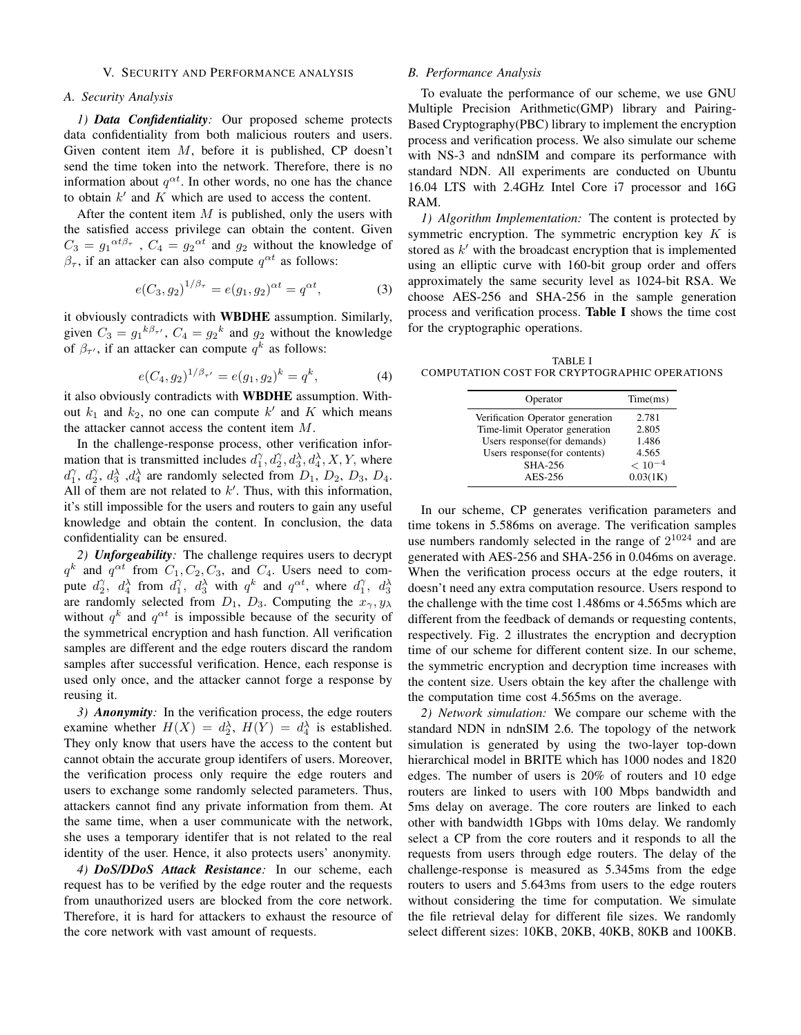## V. SECURITY AND PERFORMANCE ANALYSIS

# *A. Security Analysis*

*1) Data Confidentiality:* Our proposed scheme protects data confidentiality from both malicious routers and users. Given content item  $M$ , before it is published, CP doesn't send the time token into the network. Therefore, there is no information about  $q^{\alpha t}$ . In other words, no one has the chance to obtain  $k'$  and K which are used to access the content.

After the content item  $M$  is published, only the users with the satisfied access privilege can obtain the content. Given  $C_3 = g_1^{\alpha t \beta_\tau}$ ,  $C_4 = g_2^{\alpha t}$  and  $g_2$  without the knowledge of  $\beta_{\tau}$ , if an attacker can also compute  $q^{\alpha t}$  as follows:

$$
e(C_3, g_2)^{1/\beta_\tau} = e(g_1, g_2)^{\alpha t} = q^{\alpha t}, \tag{3}
$$

it obviously contradicts with WBDHE assumption. Similarly, given  $C_3 = g_1{}^{k\beta_{\tau'}}$ ,  $C_4 = g_2{}^k$  and  $g_2$  without the knowledge of  $\beta_{\tau'}$ , if an attacker can compute  $q^k$  as follows:

$$
e(C_4, g_2)^{1/\beta_{\tau'}} = e(g_1, g_2)^k = q^k, \tag{4}
$$

it also obviously contradicts with WBDHE assumption. Without  $k_1$  and  $k_2$ , no one can compute k' and K which means the attacker cannot access the content item M.

In the challenge-response process, other verification information that is transmitted includes  $d_1^{\gamma}, d_2^{\gamma}, d_3^{\lambda}, d_4^{\lambda}, X, Y$ , where  $d_1^{\gamma}$ ,  $d_2^{\gamma}$ ,  $d_3^{\lambda}$ ,  $d_4^{\lambda}$  are randomly selected from  $D_1$ ,  $D_2$ ,  $D_3$ ,  $D_4$ . All of them are not related to  $k'$ . Thus, with this information, it's still impossible for the users and routers to gain any useful knowledge and obtain the content. In conclusion, the data confidentiality can be ensured.

*2) Unforgeability:* The challenge requires users to decrypt  $q^k$  and  $q^{\alpha t}$  from  $C_1, C_2, C_3$ , and  $C_4$ . Users need to compute  $d_2^{\gamma}$ ,  $d_4^{\lambda}$  from  $d_1^{\gamma}$ ,  $d_3^{\lambda}$  with  $q^k$  and  $q^{\alpha t}$ , where  $d_1^{\gamma}$ ,  $d_3^{\lambda}$ are randomly selected from  $D_1$ ,  $D_3$ . Computing the  $x_{\gamma}, y_{\lambda}$ without  $q^k$  and  $q^{\alpha t}$  is impossible because of the security of the symmetrical encryption and hash function. All verification samples are different and the edge routers discard the random samples after successful verification. Hence, each response is used only once, and the attacker cannot forge a response by reusing it.

*3) Anonymity:* In the verification process, the edge routers examine whether  $H(X) = d_2^{\lambda}$ ,  $H(Y) = d_4^{\lambda}$  is established. They only know that users have the access to the content but cannot obtain the accurate group identifers of users. Moreover, the verification process only require the edge routers and users to exchange some randomly selected parameters. Thus, attackers cannot find any private information from them. At the same time, when a user communicate with the network, she uses a temporary identifer that is not related to the real identity of the user. Hence, it also protects users' anonymity.

*4) DoS/DDoS Attack Resistance:* In our scheme, each request has to be verified by the edge router and the requests from unauthorized users are blocked from the core network. Therefore, it is hard for attackers to exhaust the resource of the core network with vast amount of requests.

# *B. Performance Analysis*

To evaluate the performance of our scheme, we use GNU Multiple Precision Arithmetic(GMP) library and Pairing-Based Cryptography(PBC) library to implement the encryption process and verification process. We also simulate our scheme with NS-3 and ndnSIM and compare its performance with standard NDN. All experiments are conducted on Ubuntu 16.04 LTS with 2.4GHz Intel Core i7 processor and 16G RAM.

*1) Algorithm Implementation:* The content is protected by symmetric encryption. The symmetric encryption key  $K$  is stored as  $k'$  with the broadcast encryption that is implemented using an elliptic curve with 160-bit group order and offers approximately the same security level as 1024-bit RSA. We choose AES-256 and SHA-256 in the sample generation process and verification process. Table I shows the time cost for the cryptographic operations.

TABLE I COMPUTATION COST FOR CRYPTOGRAPHIC OPERATIONS

| Operator                         | Time(ms)    |
|----------------------------------|-------------|
| Verification Operator generation | 2.781       |
| Time-limit Operator generation   | 2.805       |
| Users response (for demands)     | 1.486       |
| Users response(for contents)     | 4.565       |
| <b>SHA-256</b>                   | $< 10^{-4}$ |
| AES-256                          | 0.03(1K)    |
|                                  |             |

In our scheme, CP generates verification parameters and time tokens in 5.586ms on average. The verification samples use numbers randomly selected in the range of  $2^{1024}$  and are generated with AES-256 and SHA-256 in 0.046ms on average. When the verification process occurs at the edge routers, it doesn't need any extra computation resource. Users respond to the challenge with the time cost 1.486ms or 4.565ms which are different from the feedback of demands or requesting contents, respectively. Fig. 2 illustrates the encryption and decryption time of our scheme for different content size. In our scheme, the symmetric encryption and decryption time increases with the content size. Users obtain the key after the challenge with the computation time cost 4.565ms on the average.

*2) Network simulation:* We compare our scheme with the standard NDN in ndnSIM 2.6. The topology of the network simulation is generated by using the two-layer top-down hierarchical model in BRITE which has 1000 nodes and 1820 edges. The number of users is 20% of routers and 10 edge routers are linked to users with 100 Mbps bandwidth and 5ms delay on average. The core routers are linked to each other with bandwidth 1Gbps with 10ms delay. We randomly select a CP from the core routers and it responds to all the requests from users through edge routers. The delay of the challenge-response is measured as 5.345ms from the edge routers to users and 5.643ms from users to the edge routers without considering the time for computation. We simulate the file retrieval delay for different file sizes. We randomly select different sizes: 10KB, 20KB, 40KB, 80KB and 100KB.